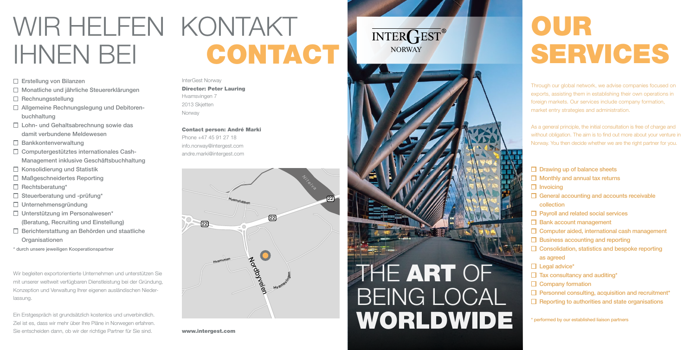### InterGest Norway Director: Peter Lauring Hvamsvingen 7 2013 Skjetten Norway

#### Contact person: André Marki

### WIR HELFEN KONTAKT CONTACT IHNEN BEI

### Erstellung von Bilanzen

Phone +47 45 91 27 18 info.norway@intergest.com andre.marki@intergest.com

- Monatliche und jährliche Steuererklärungen
- $\Box$  Rechnungsstellung
- □ Allgemeine Rechnungslegung und Debitorenbuchhaltung
- □ Lohn- und Gehaltsabrechnung sowie das damit verbundene Meldewesen
- $\Box$  Bankkontenverwaltung
- $\Box$  Computergestütztes internationales Cash-Management inklusive Geschäftsbuchhaltung
- $\Box$  Konsolidierung und Statistik
- □ Maßgeschneidertes Reporting
- $\Box$  Rechtsberatung\*
- $\Box$  Steuerberatung und -prüfung\*
- $\Box$  Unternehmensgründung
- □ Unterstützung im Personalwesen\* (Beratung, Recruiting und Einstellung)
- □ Berichterstattung an Behörden und staatliche **Organisationen**
- \* durch unsere jeweiligen Kooperationspartner

Wir begleiten exportorientierte Unternehmen und unterstützen Sie mit unserer weltweit verfügbaren Dienstleistung bei der Gründung, Konzeption und Verwaltung Ihrer eigenen ausländischen Niederlassung.

Ein Erstgespräch ist grundsätzlich kostenlos und unverbindlich. Ziel ist es, dass wir mehr über Ihre Pläne in Norwegen erfahren. Sie entscheiden dann, ob wir der richtige Partner für Sie sind.

# OUR SERVICES

\* performed by our established liaison partners

Through our global network, we advise companies focused on exports, assisting them in establishing their own operations in foreign markets. Our services include company formation, market entry strategies and administration.

As a general principle, the initial consultation is free of charge and without obligation. The aim is to find out more about your venture in Norway. You then decide whether we are the right partner for you.

- $\Box$  Drawing up of balance sheets
- $\Box$  Monthly and annual tax returns
- $\Box$  Invoicing
- General accounting and accounts receivable collection
- $\Box$  Payroll and related social services
- Bank account management
- $\Box$  Computer aided, international cash management
- $\Box$  Business accounting and reporting
- $\Box$  Consolidation, statistics and bespoke reporting as agreed
- $\Box$  Legal advice\*
- $\Box$  Tax consultancy and auditing\*
- $\Box$  Company formation
- $\Box$  Personnel consulting, acquisition and recruitment\*
- $\Box$  Reporting to authorities and state organisations

www.intergest.com

### INTER<sub>CEST®</sub> **NORWAY**